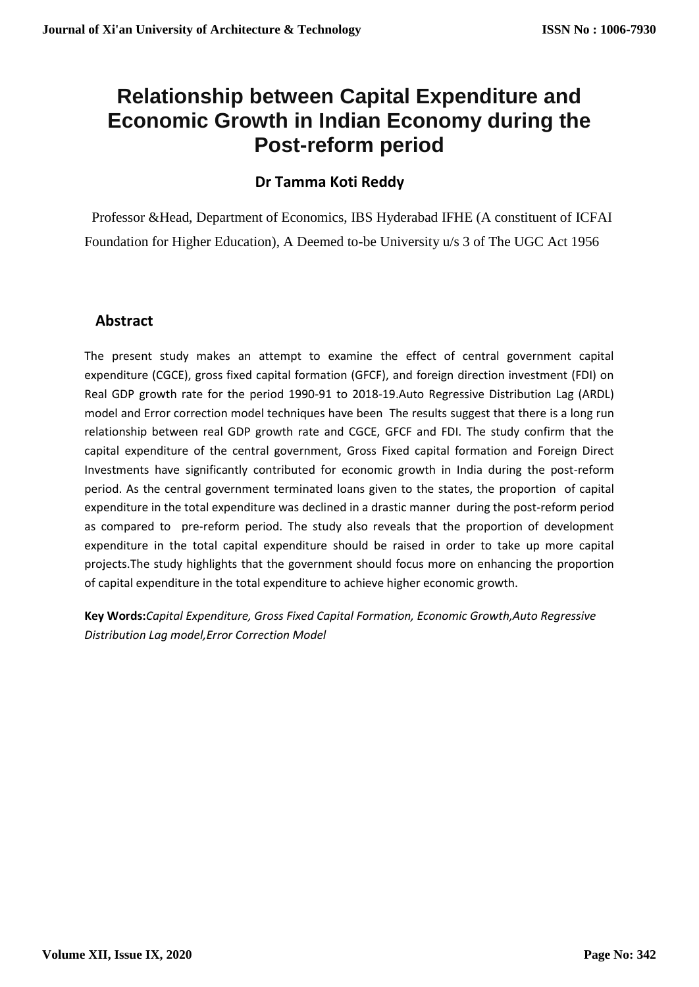# **Relationship between Capital Expenditure and Economic Growth in Indian Economy during the Post-reform period**

## **Dr Tamma Koti Reddy**

Professor &Head, Department of Economics, IBS Hyderabad IFHE (A constituent of ICFAI Foundation for Higher Education), A Deemed to-be University u/s 3 of The UGC Act 1956

### **Abstract**

The present study makes an attempt to examine the effect of central government capital expenditure (CGCE), gross fixed capital formation (GFCF), and foreign direction investment (FDI) on Real GDP growth rate for the period 1990-91 to 2018-19.Auto Regressive Distribution Lag (ARDL) model and Error correction model techniques have been The results suggest that there is a long run relationship between real GDP growth rate and CGCE, GFCF and FDI. The study confirm that the capital expenditure of the central government, Gross Fixed capital formation and Foreign Direct Investments have significantly contributed for economic growth in India during the post-reform period. As the central government terminated loans given to the states, the proportion of capital expenditure in the total expenditure was declined in a drastic manner during the post-reform period as compared to pre-reform period. The study also reveals that the proportion of development expenditure in the total capital expenditure should be raised in order to take up more capital projects.The study highlights that the government should focus more on enhancing the proportion of capital expenditure in the total expenditure to achieve higher economic growth.

**Key Words:***Capital Expenditure, Gross Fixed Capital Formation, Economic Growth,Auto Regressive Distribution Lag model,Error Correction Model*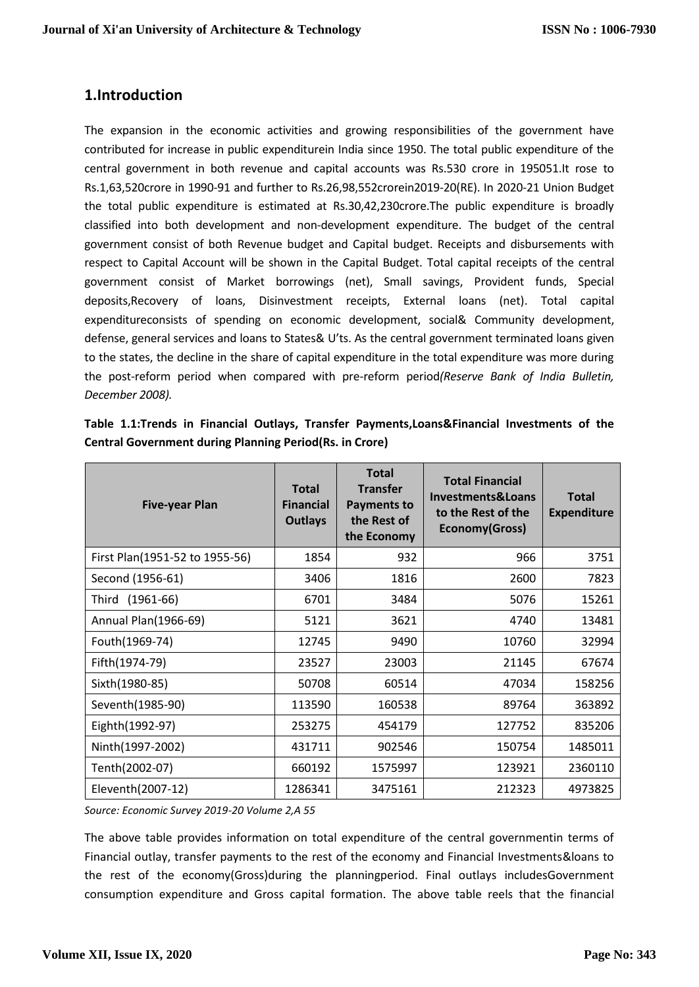## **1.Introduction**

The expansion in the economic activities and growing responsibilities of the government have contributed for increase in public expenditurein India since 1950. The total public expenditure of the central government in both revenue and capital accounts was Rs.530 crore in 195051.It rose to Rs.1,63,520crore in 1990-91 and further to Rs.26,98,552crorein2019-20(RE). In 2020-21 Union Budget the total public expenditure is estimated at Rs.30,42,230crore.The public expenditure is broadly classified into both development and non-development expenditure. The budget of the central government consist of both Revenue budget and Capital budget. Receipts and disbursements with respect to Capital Account will be shown in the Capital Budget. Total capital receipts of the central government consist of Market borrowings (net), Small savings, Provident funds, Special deposits,Recovery of loans, Disinvestment receipts, External loans (net). Total capital expenditureconsists of spending on economic development, social& Community development, defense, general services and loans to States& U'ts. As the central government terminated loans given to the states, the decline in the share of capital expenditure in the total expenditure was more during the post-reform period when compared with pre-reform period*(Reserve Bank of India Bulletin, December 2008).*

| <b>Five-year Plan</b>          | <b>Total</b><br><b>Financial</b><br><b>Outlays</b> | <b>Total</b><br><b>Transfer</b><br><b>Payments to</b><br>the Rest of<br>the Economy | <b>Total Financial</b><br>Investments& Loans<br>to the Rest of the<br>Economy(Gross) | <b>Total</b><br><b>Expenditure</b> |
|--------------------------------|----------------------------------------------------|-------------------------------------------------------------------------------------|--------------------------------------------------------------------------------------|------------------------------------|
| First Plan(1951-52 to 1955-56) | 1854                                               | 932                                                                                 | 966                                                                                  | 3751                               |
| Second (1956-61)               | 3406                                               | 1816                                                                                | 2600                                                                                 | 7823                               |
| Third (1961-66)                | 6701                                               | 3484                                                                                | 5076                                                                                 | 15261                              |
| Annual Plan(1966-69)           | 5121                                               | 3621                                                                                | 4740                                                                                 | 13481                              |
| Fouth(1969-74)                 | 12745                                              | 9490                                                                                | 10760                                                                                | 32994                              |
| Fifth(1974-79)                 | 23527                                              | 23003                                                                               | 21145                                                                                | 67674                              |
| Sixth(1980-85)                 | 50708                                              | 60514                                                                               | 47034                                                                                | 158256                             |
| Seventh(1985-90)               | 113590                                             | 160538                                                                              | 89764                                                                                | 363892                             |
| Eighth(1992-97)                | 253275                                             | 454179                                                                              | 127752                                                                               | 835206                             |
| Ninth(1997-2002)               | 431711                                             | 902546                                                                              | 150754                                                                               | 1485011                            |
| Tenth(2002-07)                 | 660192                                             | 1575997                                                                             | 123921                                                                               | 2360110                            |
| Eleventh(2007-12)              | 1286341                                            | 3475161                                                                             | 212323                                                                               | 4973825                            |

|                                                                 |  |  | Table 1.1:Trends in Financial Outlays, Transfer Payments, Loans& Financial Investments of the |  |  |
|-----------------------------------------------------------------|--|--|-----------------------------------------------------------------------------------------------|--|--|
| <b>Central Government during Planning Period (Rs. in Crore)</b> |  |  |                                                                                               |  |  |

*Source: Economic Survey 2019-20 Volume 2,A 55*

The above table provides information on total expenditure of the central governmentin terms of Financial outlay, transfer payments to the rest of the economy and Financial Investments&loans to the rest of the economy(Gross)during the planningperiod. Final outlays includesGovernment consumption expenditure and Gross capital formation. The above table reels that the financial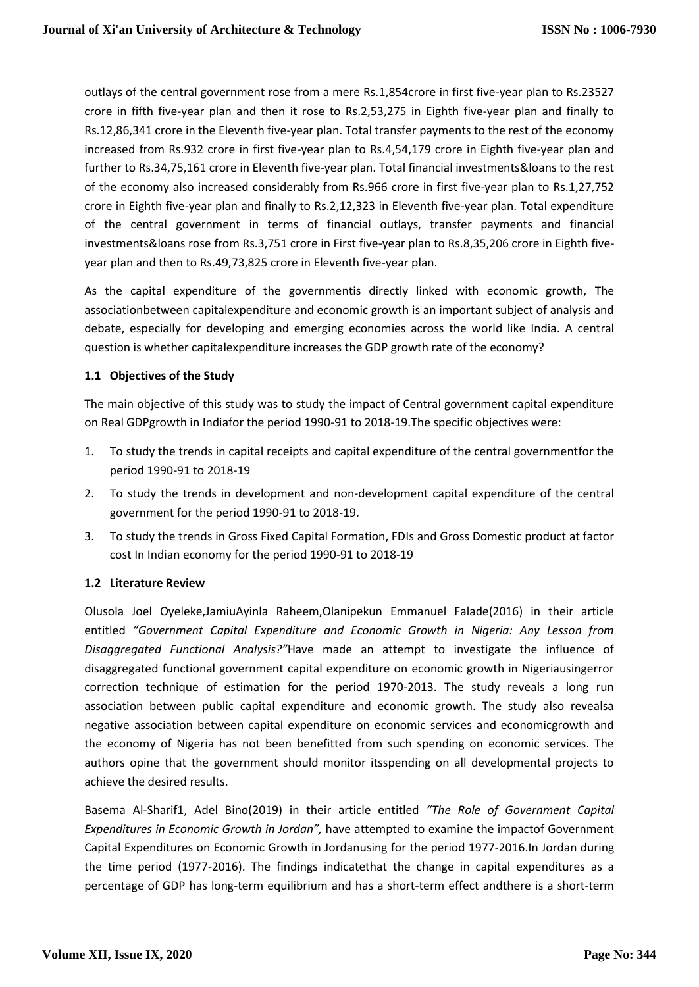outlays of the central government rose from a mere Rs.1,854crore in first five-year plan to Rs.23527 crore in fifth five-year plan and then it rose to Rs.2,53,275 in Eighth five-year plan and finally to Rs.12,86,341 crore in the Eleventh five-year plan. Total transfer payments to the rest of the economy increased from Rs.932 crore in first five-year plan to Rs.4,54,179 crore in Eighth five-year plan and further to Rs.34,75,161 crore in Eleventh five-year plan. Total financial investments&loans to the rest of the economy also increased considerably from Rs.966 crore in first five-year plan to Rs.1,27,752 crore in Eighth five-year plan and finally to Rs.2,12,323 in Eleventh five-year plan. Total expenditure of the central government in terms of financial outlays, transfer payments and financial investments&loans rose from Rs.3,751 crore in First five-year plan to Rs.8,35,206 crore in Eighth fiveyear plan and then to Rs.49,73,825 crore in Eleventh five-year plan.

As the capital expenditure of the governmentis directly linked with economic growth, The associationbetween capitalexpenditure and economic growth is an important subject of analysis and debate, especially for developing and emerging economies across the world like India. A central question is whether capitalexpenditure increases the GDP growth rate of the economy?

### **1.1 Objectives of the Study**

The main objective of this study was to study the impact of Central government capital expenditure on Real GDPgrowth in Indiafor the period 1990-91 to 2018-19.The specific objectives were:

- 1. To study the trends in capital receipts and capital expenditure of the central governmentfor the period 1990-91 to 2018-19
- 2. To study the trends in development and non-development capital expenditure of the central government for the period 1990-91 to 2018-19.
- 3. To study the trends in Gross Fixed Capital Formation, FDIs and Gross Domestic product at factor cost In Indian economy for the period 1990-91 to 2018-19

### **1.2 Literature Review**

Olusola Joel Oyeleke,JamiuAyinla Raheem,Olanipekun Emmanuel Falade(2016) in their article entitled *"Government Capital Expenditure and Economic Growth in Nigeria: Any Lesson from Disaggregated Functional Analysis?"*Have made an attempt to investigate the influence of disaggregated functional government capital expenditure on economic growth in Nigeriausingerror correction technique of estimation for the period 1970-2013. The study reveals a long run association between public capital expenditure and economic growth. The study also revealsa negative association between capital expenditure on economic services and economicgrowth and the economy of Nigeria has not been benefitted from such spending on economic services. The authors opine that the government should monitor itsspending on all developmental projects to achieve the desired results.

Basema Al-Sharif1, Adel Bino(2019) in their article entitled *"The Role of Government Capital Expenditures in Economic Growth in Jordan",* have attempted to examine the impactof Government Capital Expenditures on Economic Growth in Jordanusing for the period 1977-2016.In Jordan during the time period (1977-2016). The findings indicatethat the change in capital expenditures as a percentage of GDP has long-term equilibrium and has a short-term effect andthere is a short-term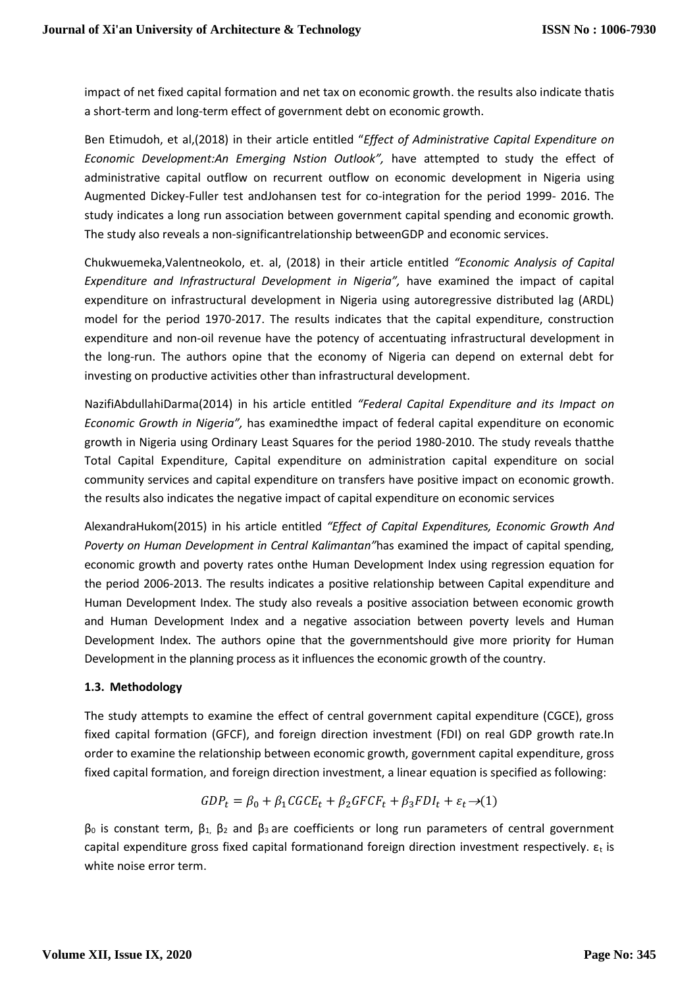impact of net fixed capital formation and net tax on economic growth. the results also indicate thatis a short-term and long-term effect of government debt on economic growth.

Ben Etimudoh, et al,(2018) in their article entitled "*Effect of Administrative Capital Expenditure on Economic Development:An Emerging Nstion Outlook",* have attempted to study the effect of administrative capital outflow on recurrent outflow on economic development in Nigeria using Augmented Dickey-Fuller test andJohansen test for co-integration for the period 1999- 2016. The study indicates a long run association between government capital spending and economic growth. The study also reveals a non-significantrelationship betweenGDP and economic services.

Chukwuemeka,Valentneokolo, et. al, (2018) in their article entitled *"Economic Analysis of Capital Expenditure and Infrastructural Development in Nigeria",* have examined the impact of capital expenditure on infrastructural development in Nigeria using autoregressive distributed lag (ARDL) model for the period 1970-2017. The results indicates that the capital expenditure, construction expenditure and non-oil revenue have the potency of accentuating infrastructural development in the long-run. The authors opine that the economy of Nigeria can depend on external debt for investing on productive activities other than infrastructural development.

NazifiAbdullahiDarma(2014) in his article entitled *"Federal Capital Expenditure and its Impact on Economic Growth in Nigeria",* has examinedthe impact of federal capital expenditure on economic growth in Nigeria using Ordinary Least Squares for the period 1980-2010. The study reveals thatthe Total Capital Expenditure, Capital expenditure on administration capital expenditure on social community services and capital expenditure on transfers have positive impact on economic growth. the results also indicates the negative impact of capital expenditure on economic services

AlexandraHukom(2015) in his article entitled *"Effect of Capital Expenditures, Economic Growth And Poverty on Human Development in Central Kalimantan"*has examined the impact of capital spending, economic growth and poverty rates onthe Human Development Index using regression equation for the period 2006-2013. The results indicates a positive relationship between Capital expenditure and Human Development Index. The study also reveals a positive association between economic growth and Human Development Index and a negative association between poverty levels and Human Development Index. The authors opine that the governmentshould give more priority for Human Development in the planning process as it influences the economic growth of the country.

### **1.3. Methodology**

The study attempts to examine the effect of central government capital expenditure (CGCE), gross fixed capital formation (GFCF), and foreign direction investment (FDI) on real GDP growth rate.In order to examine the relationship between economic growth, government capital expenditure, gross fixed capital formation, and foreign direction investment, a linear equation is specified as following:

$$
GDP_t = \beta_0 + \beta_1 CGCE_t + \beta_2 GFCF_t + \beta_3 FDI_t + \varepsilon_t \rightarrow (1)
$$

 $β$ <sub>0</sub> is constant term,  $β$ <sub>1</sub>,  $β$ <sub>2</sub> and  $β$ <sub>3</sub> are coefficients or long run parameters of central government capital expenditure gross fixed capital formationand foreign direction investment respectively.  $\varepsilon_t$  is white noise error term.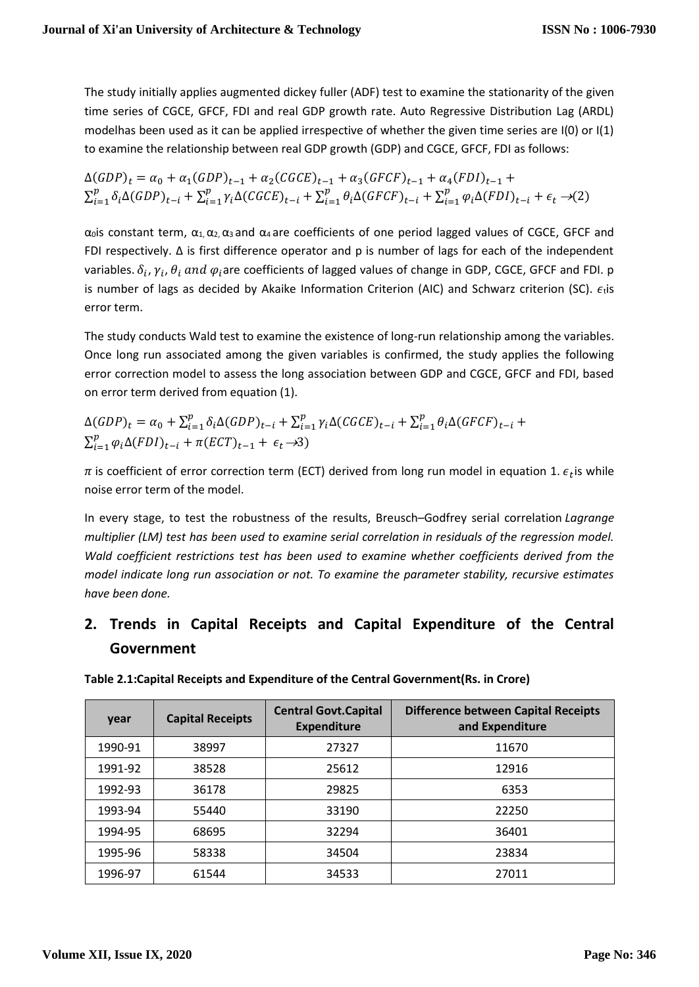The study initially applies augmented dickey fuller (ADF) test to examine the stationarity of the given time series of CGCE, GFCF, FDI and real GDP growth rate. Auto Regressive Distribution Lag (ARDL) modelhas been used as it can be applied irrespective of whether the given time series are I(0) or I(1) to examine the relationship between real GDP growth (GDP) and CGCE, GFCF, FDI as follows:

 $\Delta(GDP)_t = \alpha_0 + \alpha_1(GDP)_{t-1} + \alpha_2(CGCE)_{t-1} + \alpha_3(GFCF)_{t-1} + \alpha_4(FDI)_{t-1} +$  $\sum_{i=1}^{p} \delta_i \Delta(GDP)_{t-i} + \sum_{i=1}^{p} \gamma_i \Delta(CGCE)_{t-i} + \sum_{i=1}^{p} \theta_i \Delta(GFCF)_{t-i} + \sum_{i=1}^{p} \varphi_i \Delta(FDI)_{t-i} + \epsilon_t \rightarrow (2)$ 

 $α_0$ is constant term,  $α_1α_2α_3$  and  $α_4$  are coefficients of one period lagged values of CGCE, GFCF and FDI respectively. ∆ is first difference operator and p is number of lags for each of the independent variables.  $\delta_i$ ,  $\gamma_i$ ,  $\theta_i$  and  $\varphi_i$ are coefficients of lagged values of change in GDP, CGCE, GFCF and FDI. p is number of lags as decided by Akaike Information Criterion (AIC) and Schwarz criterion (SC).  $\epsilon_t$  is error term.

The study conducts Wald test to examine the existence of long-run relationship among the variables. Once long run associated among the given variables is confirmed, the study applies the following error correction model to assess the long association between GDP and CGCE, GFCF and FDI, based on error term derived from equation (1).

$$
\Delta(GDP)_t = \alpha_0 + \sum_{i=1}^p \delta_i \Delta(GDP)_{t-i} + \sum_{i=1}^p \gamma_i \Delta(CGCE)_{t-i} + \sum_{i=1}^p \theta_i \Delta(GFCF)_{t-i} + \sum_{i=1}^p \varphi_i \Delta(FDI)_{t-i} + \pi(ECT)_{t-1} + \epsilon_t \rightarrow 3)
$$

 $\pi$  is coefficient of error correction term (ECT) derived from long run model in equation 1.  $\epsilon_t$ is while noise error term of the model.

In every stage, to test the robustness of the results, Breusch–Godfrey serial correlation *Lagrange multiplier (LM) test has been used to examine serial correlation in residuals of the regression model. Wald coefficient restrictions test has been used to examine whether coefficients derived from the model indicate long run association or not. To examine the parameter stability, recursive estimates have been done.* 

## **2. Trends in Capital Receipts and Capital Expenditure of the Central Government**

| year    | <b>Capital Receipts</b> | <b>Central Govt.Capital</b><br><b>Expenditure</b> | <b>Difference between Capital Receipts</b><br>and Expenditure |
|---------|-------------------------|---------------------------------------------------|---------------------------------------------------------------|
| 1990-91 | 38997                   | 27327                                             | 11670                                                         |
| 1991-92 | 38528                   | 25612                                             | 12916                                                         |
| 1992-93 | 36178                   | 29825                                             | 6353                                                          |
| 1993-94 | 55440                   | 33190                                             | 22250                                                         |
| 1994-95 | 68695                   | 32294                                             | 36401                                                         |
| 1995-96 | 58338                   | 34504                                             | 23834                                                         |
| 1996-97 | 61544                   | 34533                                             | 27011                                                         |

**Table 2.1:Capital Receipts and Expenditure of the Central Government(Rs. in Crore)**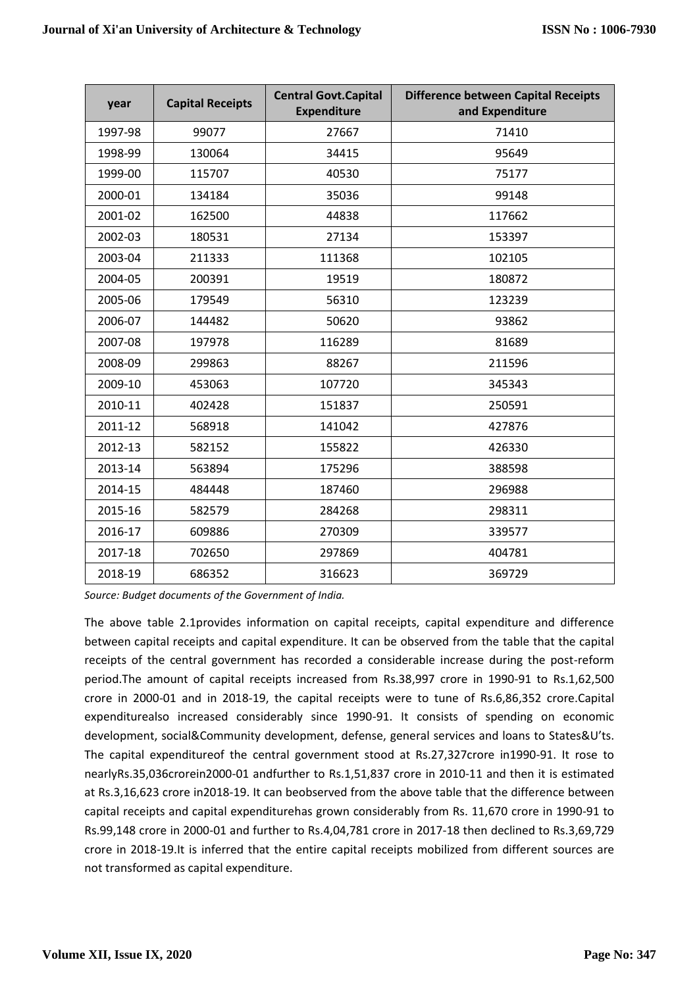| year    | <b>Capital Receipts</b> | <b>Central Govt.Capital</b><br><b>Expenditure</b> | <b>Difference between Capital Receipts</b><br>and Expenditure |
|---------|-------------------------|---------------------------------------------------|---------------------------------------------------------------|
| 1997-98 | 99077                   | 27667                                             | 71410                                                         |
| 1998-99 | 130064                  | 34415                                             | 95649                                                         |
| 1999-00 | 115707                  | 40530                                             | 75177                                                         |
| 2000-01 | 134184                  | 35036                                             | 99148                                                         |
| 2001-02 | 162500                  | 44838                                             | 117662                                                        |
| 2002-03 | 180531                  | 27134                                             | 153397                                                        |
| 2003-04 | 211333                  | 111368                                            | 102105                                                        |
| 2004-05 | 200391                  | 19519                                             | 180872                                                        |
| 2005-06 | 179549                  | 56310                                             | 123239                                                        |
| 2006-07 | 144482                  | 50620                                             | 93862                                                         |
| 2007-08 | 197978                  | 116289                                            | 81689                                                         |
| 2008-09 | 299863                  | 88267                                             | 211596                                                        |
| 2009-10 | 453063                  | 107720                                            | 345343                                                        |
| 2010-11 | 402428                  | 151837                                            | 250591                                                        |
| 2011-12 | 568918                  | 141042                                            | 427876                                                        |
| 2012-13 | 582152                  | 155822                                            | 426330                                                        |
| 2013-14 | 563894                  | 175296                                            | 388598                                                        |
| 2014-15 | 484448                  | 187460                                            | 296988                                                        |
| 2015-16 | 582579                  | 284268                                            | 298311                                                        |
| 2016-17 | 609886                  | 270309                                            | 339577                                                        |
| 2017-18 | 702650                  | 297869                                            | 404781                                                        |
| 2018-19 | 686352                  | 316623                                            | 369729                                                        |

*Source: Budget documents of the Government of India.*

The above table 2.1provides information on capital receipts, capital expenditure and difference between capital receipts and capital expenditure. It can be observed from the table that the capital receipts of the central government has recorded a considerable increase during the post-reform period.The amount of capital receipts increased from Rs.38,997 crore in 1990-91 to Rs.1,62,500 crore in 2000-01 and in 2018-19, the capital receipts were to tune of Rs.6,86,352 crore.Capital expenditurealso increased considerably since 1990-91. It consists of spending on economic development, social&Community development, defense, general services and loans to States&U'ts. The capital expenditureof the central government stood at Rs.27,327crore in1990-91. It rose to nearlyRs.35,036crorein2000-01 andfurther to Rs.1,51,837 crore in 2010-11 and then it is estimated at Rs.3,16,623 crore in2018-19. It can beobserved from the above table that the difference between capital receipts and capital expenditurehas grown considerably from Rs. 11,670 crore in 1990-91 to Rs.99,148 crore in 2000-01 and further to Rs.4,04,781 crore in 2017-18 then declined to Rs.3,69,729 crore in 2018-19.It is inferred that the entire capital receipts mobilized from different sources are not transformed as capital expenditure.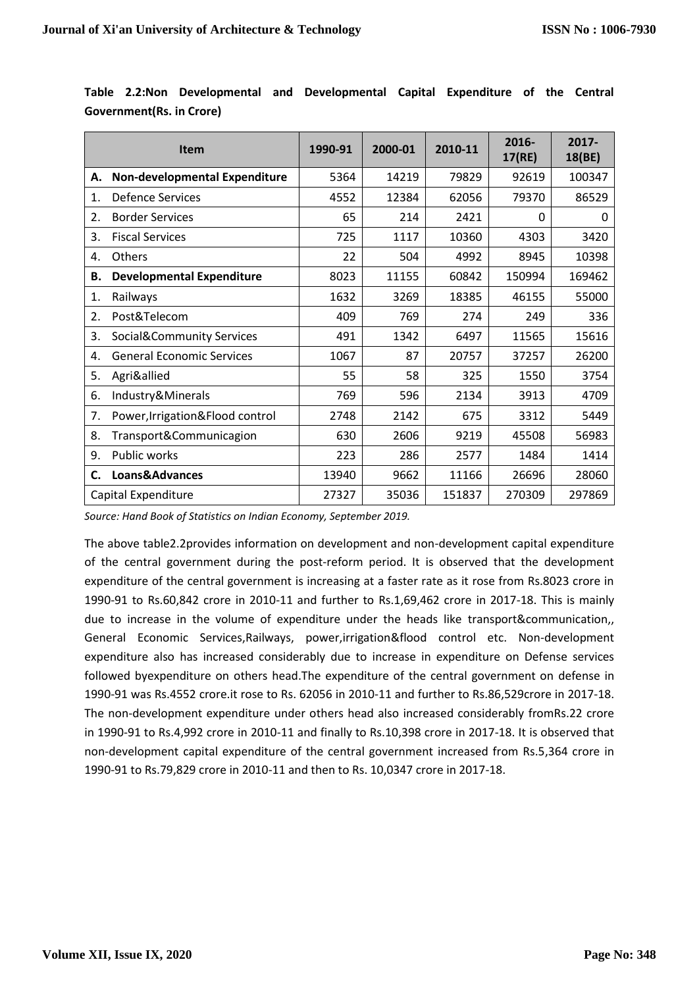|    | <b>Item</b>                          | 1990-91 | 2000-01 | 2010-11 | 2016-<br>17(RE) | 2017-<br>18(BE) |
|----|--------------------------------------|---------|---------|---------|-----------------|-----------------|
| А. | Non-developmental Expenditure        | 5364    | 14219   | 79829   | 92619           | 100347          |
| 1. | <b>Defence Services</b>              | 4552    | 12384   | 62056   | 79370           | 86529           |
| 2. | <b>Border Services</b>               | 65      | 214     | 2421    | $\mathbf{0}$    | 0               |
| 3. | <b>Fiscal Services</b>               | 725     | 1117    | 10360   | 4303            | 3420            |
| 4. | Others                               | 22      | 504     | 4992    | 8945            | 10398           |
| В. | <b>Developmental Expenditure</b>     | 8023    | 11155   | 60842   | 150994          | 169462          |
| 1. | Railways                             | 1632    | 3269    | 18385   | 46155           | 55000           |
| 2. | Post&Telecom                         | 409     | 769     | 274     | 249             | 336             |
| 3. | <b>Social&amp;Community Services</b> | 491     | 1342    | 6497    | 11565           | 15616           |
| 4. | <b>General Economic Services</b>     | 1067    | 87      | 20757   | 37257           | 26200           |
| 5. | Agri&allied                          | 55      | 58      | 325     | 1550            | 3754            |
| 6. | Industry&Minerals                    | 769     | 596     | 2134    | 3913            | 4709            |
| 7. | Power, Irrigation&Flood control      | 2748    | 2142    | 675     | 3312            | 5449            |
| 8. | Transport&Communicagion              | 630     | 2606    | 9219    | 45508           | 56983           |
| 9. | Public works                         | 223     | 286     | 2577    | 1484            | 1414            |
| C. | Loans&Advances                       | 13940   | 9662    | 11166   | 26696           | 28060           |
|    | Capital Expenditure                  | 27327   | 35036   | 151837  | 270309          | 297869          |

**Table 2.2:Non Developmental and Developmental Capital Expenditure of the Central Government(Rs. in Crore)**

*Source: Hand Book of Statistics on Indian Economy, September 2019.*

The above table2.2provides information on development and non-development capital expenditure of the central government during the post-reform period. It is observed that the development expenditure of the central government is increasing at a faster rate as it rose from Rs.8023 crore in 1990-91 to Rs.60,842 crore in 2010-11 and further to Rs.1,69,462 crore in 2017-18. This is mainly due to increase in the volume of expenditure under the heads like transport&communication,, General Economic Services,Railways, power,irrigation&flood control etc. Non-development expenditure also has increased considerably due to increase in expenditure on Defense services followed byexpenditure on others head.The expenditure of the central government on defense in 1990-91 was Rs.4552 crore.it rose to Rs. 62056 in 2010-11 and further to Rs.86,529crore in 2017-18. The non-development expenditure under others head also increased considerably fromRs.22 crore in 1990-91 to Rs.4,992 crore in 2010-11 and finally to Rs.10,398 crore in 2017-18. It is observed that non-development capital expenditure of the central government increased from Rs.5,364 crore in 1990-91 to Rs.79,829 crore in 2010-11 and then to Rs. 10,0347 crore in 2017-18.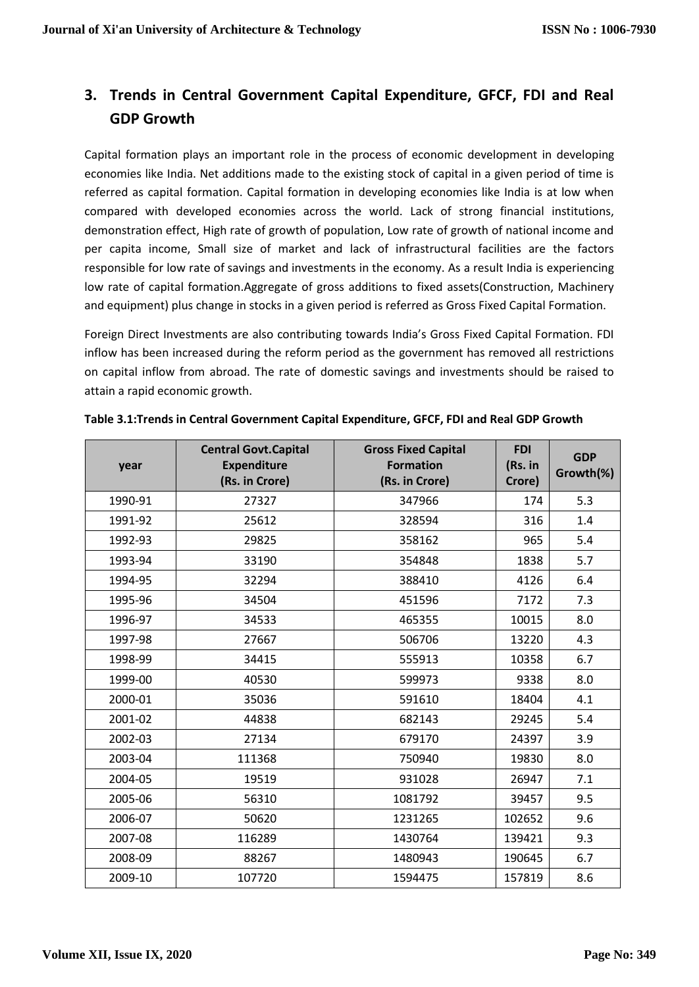## **3. Trends in Central Government Capital Expenditure, GFCF, FDI and Real GDP Growth**

Capital formation plays an important role in the process of economic development in developing economies like India. Net additions made to the existing stock of capital in a given period of time is referred as capital formation. Capital formation in developing economies like India is at low when compared with developed economies across the world. Lack of strong financial institutions, demonstration effect, High rate of growth of population, Low rate of growth of national income and per capita income, Small size of market and lack of infrastructural facilities are the factors responsible for low rate of savings and investments in the economy. As a result India is experiencing low rate of capital formation.Aggregate of gross additions to fixed assets(Construction, Machinery and equipment) plus change in stocks in a given period is referred as Gross Fixed Capital Formation.

Foreign Direct Investments are also contributing towards India's Gross Fixed Capital Formation. FDI inflow has been increased during the reform period as the government has removed all restrictions on capital inflow from abroad. The rate of domestic savings and investments should be raised to attain a rapid economic growth.

| year    | <b>Central Govt.Capital</b><br><b>Expenditure</b><br>(Rs. in Crore) | <b>Gross Fixed Capital</b><br><b>Formation</b><br>(Rs. in Crore) | <b>FDI</b><br>(Rs. in<br>Crore) | <b>GDP</b><br>Growth(%) |
|---------|---------------------------------------------------------------------|------------------------------------------------------------------|---------------------------------|-------------------------|
| 1990-91 | 27327                                                               | 347966                                                           | 174                             | 5.3                     |
| 1991-92 | 25612                                                               | 328594                                                           | 316                             | 1.4                     |
| 1992-93 | 29825                                                               | 358162                                                           | 965                             | 5.4                     |
| 1993-94 | 33190                                                               | 354848                                                           | 1838                            | 5.7                     |
| 1994-95 | 32294                                                               | 388410                                                           | 4126                            | 6.4                     |
| 1995-96 | 34504                                                               | 451596                                                           | 7172                            | 7.3                     |
| 1996-97 | 34533                                                               | 465355                                                           | 10015                           | 8.0                     |
| 1997-98 | 27667                                                               | 506706                                                           | 13220                           | 4.3                     |
| 1998-99 | 34415                                                               | 555913                                                           | 10358                           | 6.7                     |
| 1999-00 | 40530                                                               | 599973                                                           | 9338                            | 8.0                     |
| 2000-01 | 35036                                                               | 591610                                                           | 18404                           | 4.1                     |
| 2001-02 | 44838                                                               | 682143                                                           | 29245                           | 5.4                     |
| 2002-03 | 27134                                                               | 679170                                                           | 24397                           | 3.9                     |
| 2003-04 | 111368                                                              | 750940                                                           | 19830                           | 8.0                     |
| 2004-05 | 19519                                                               | 931028                                                           | 26947                           | 7.1                     |
| 2005-06 | 56310                                                               | 1081792                                                          | 39457                           | 9.5                     |
| 2006-07 | 50620                                                               | 1231265                                                          | 102652                          | 9.6                     |
| 2007-08 | 116289                                                              | 1430764                                                          | 139421                          | 9.3                     |
| 2008-09 | 88267                                                               | 1480943                                                          | 190645                          | 6.7                     |
| 2009-10 | 107720                                                              | 1594475                                                          | 157819                          | 8.6                     |

**Table 3.1:Trends in Central Government Capital Expenditure, GFCF, FDI and Real GDP Growth**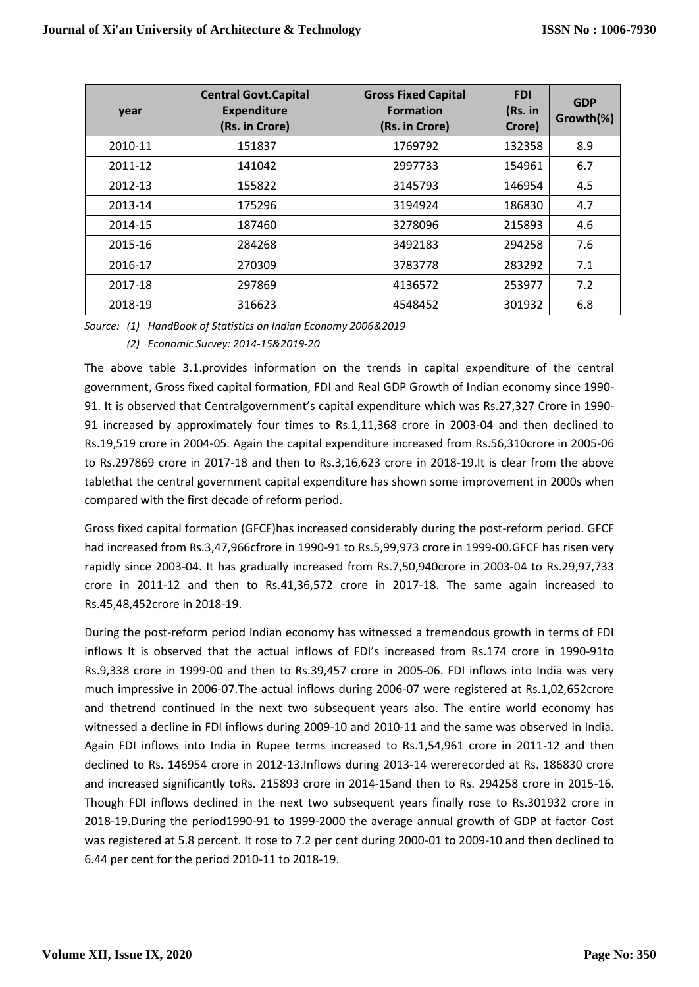| year    | <b>Central Govt. Capital</b><br><b>Expenditure</b><br>(Rs. in Crore) | <b>Gross Fixed Capital</b><br><b>Formation</b><br>(Rs. in Crore) | <b>FDI</b><br>(Rs. in<br>Crore) | <b>GDP</b><br>Growth(%) |
|---------|----------------------------------------------------------------------|------------------------------------------------------------------|---------------------------------|-------------------------|
| 2010-11 | 151837                                                               | 1769792                                                          | 132358                          | 8.9                     |
| 2011-12 | 141042                                                               | 2997733                                                          | 154961                          | 6.7                     |
| 2012-13 | 155822                                                               | 3145793                                                          | 146954                          | 4.5                     |
| 2013-14 | 175296                                                               | 3194924                                                          | 186830                          | 4.7                     |
| 2014-15 | 187460                                                               | 3278096                                                          | 215893                          | 4.6                     |
| 2015-16 | 284268                                                               | 3492183                                                          | 294258                          | 7.6                     |
| 2016-17 | 270309                                                               | 3783778                                                          | 283292                          | 7.1                     |
| 2017-18 | 297869                                                               | 4136572                                                          | 253977                          | 7.2                     |
| 2018-19 | 316623                                                               | 4548452                                                          | 301932                          | 6.8                     |

*Source: (1) HandBook of Statistics on Indian Economy 2006&2019*

*(2) Economic Survey: 2014-15&2019-20*

The above table 3.1.provides information on the trends in capital expenditure of the central government, Gross fixed capital formation, FDI and Real GDP Growth of Indian economy since 1990- 91. It is observed that Centralgovernment's capital expenditure which was Rs.27,327 Crore in 1990- 91 increased by approximately four times to Rs.1,11,368 crore in 2003-04 and then declined to Rs.19,519 crore in 2004-05. Again the capital expenditure increased from Rs.56,310crore in 2005-06 to Rs.297869 crore in 2017-18 and then to Rs.3,16,623 crore in 2018-19.It is clear from the above tablethat the central government capital expenditure has shown some improvement in 2000s when compared with the first decade of reform period.

Gross fixed capital formation (GFCF)has increased considerably during the post-reform period. GFCF had increased from Rs.3,47,966cfrore in 1990-91 to Rs.5,99,973 crore in 1999-00.GFCF has risen very rapidly since 2003-04. It has gradually increased from Rs.7,50,940crore in 2003-04 to Rs.29,97,733 crore in 2011-12 and then to Rs.41,36,572 crore in 2017-18. The same again increased to Rs.45,48,452crore in 2018-19.

During the post-reform period Indian economy has witnessed a tremendous growth in terms of FDI inflows It is observed that the actual inflows of FDI's increased from Rs.174 crore in 1990-91to Rs.9,338 crore in 1999-00 and then to Rs.39,457 crore in 2005-06. FDI inflows into India was very much impressive in 2006-07.The actual inflows during 2006-07 were registered at Rs.1,02,652crore and thetrend continued in the next two subsequent years also. The entire world economy has witnessed a decline in FDI inflows during 2009-10 and 2010-11 and the same was observed in India. Again FDI inflows into India in Rupee terms increased to Rs.1,54,961 crore in 2011-12 and then declined to Rs. 146954 crore in 2012-13.Inflows during 2013-14 wererecorded at Rs. 186830 crore and increased significantly toRs. 215893 crore in 2014-15and then to Rs. 294258 crore in 2015-16. Though FDI inflows declined in the next two subsequent years finally rose to Rs.301932 crore in 2018-19.During the period1990-91 to 1999-2000 the average annual growth of GDP at factor Cost was registered at 5.8 percent. It rose to 7.2 per cent during 2000-01 to 2009-10 and then declined to 6.44 per cent for the period 2010-11 to 2018-19.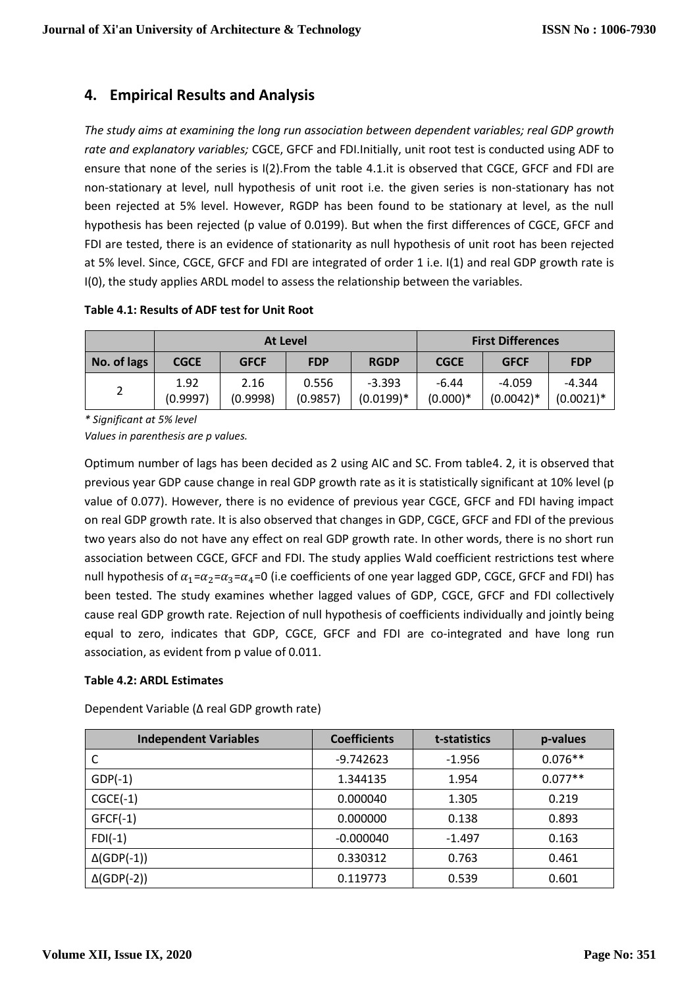## **4. Empirical Results and Analysis**

*The study aims at examining the long run association between dependent variables; real GDP growth rate and explanatory variables;* CGCE, GFCF and FDI.Initially, unit root test is conducted using ADF to ensure that none of the series is I(2).From the table 4.1.it is observed that CGCE, GFCF and FDI are non-stationary at level, null hypothesis of unit root i.e. the given series is non-stationary has not been rejected at 5% level. However, RGDP has been found to be stationary at level, as the null hypothesis has been rejected (p value of 0.0199). But when the first differences of CGCE, GFCF and FDI are tested, there is an evidence of stationarity as null hypothesis of unit root has been rejected at 5% level. Since, CGCE, GFCF and FDI are integrated of order 1 i.e. I(1) and real GDP growth rate is I(0), the study applies ARDL model to assess the relationship between the variables.

**Table 4.1: Results of ADF test for Unit Root**

|             | At Level         |                  |                   |                         | <b>First Differences</b> |                         |                          |
|-------------|------------------|------------------|-------------------|-------------------------|--------------------------|-------------------------|--------------------------|
| No. of lags | <b>CGCE</b>      | <b>GFCF</b>      | <b>FDP</b>        | <b>RGDP</b>             | <b>CGCE</b>              | <b>GFCF</b>             | <b>FDP</b>               |
|             | 1.92<br>(0.9997) | 2.16<br>(0.9998) | 0.556<br>(0.9857) | $-3.393$<br>$(0.0199)*$ | -6.44<br>$(0.000)*$      | $-4.059$<br>$(0.0042)*$ | $-4.344$<br>$(0.0021)^*$ |

*\* Significant at 5% level*

*Values in parenthesis are p values.*

Optimum number of lags has been decided as 2 using AIC and SC. From table4. 2, it is observed that previous year GDP cause change in real GDP growth rate as it is statistically significant at 10% level (p value of 0.077). However, there is no evidence of previous year CGCE, GFCF and FDI having impact on real GDP growth rate. It is also observed that changes in GDP, CGCE, GFCF and FDI of the previous two years also do not have any effect on real GDP growth rate. In other words, there is no short run association between CGCE, GFCF and FDI. The study applies Wald coefficient restrictions test where null hypothesis of  $\alpha_1=\alpha_2=\alpha_3=\alpha_4=0$  (i.e coefficients of one year lagged GDP, CGCE, GFCF and FDI) has been tested. The study examines whether lagged values of GDP, CGCE, GFCF and FDI collectively cause real GDP growth rate. Rejection of null hypothesis of coefficients individually and jointly being equal to zero, indicates that GDP, CGCE, GFCF and FDI are co-integrated and have long run association, as evident from p value of 0.011.

### **Table 4.2: ARDL Estimates**

| Dependent Variable (∆ real GDP growth rate) |  |
|---------------------------------------------|--|
|                                             |  |

| <b>Independent Variables</b> | <b>Coefficients</b> | t-statistics | p-values  |
|------------------------------|---------------------|--------------|-----------|
|                              | $-9.742623$         | $-1.956$     | $0.076**$ |
| $GDP(-1)$                    | 1.344135            | 1.954        | $0.077**$ |
| $CGCE(-1)$                   | 0.000040            | 1.305        | 0.219     |
| $GFCF(-1)$                   | 0.000000            | 0.138        | 0.893     |
| $FDI(-1)$                    | $-0.000040$         | $-1.497$     | 0.163     |
| $\Delta$ (GDP(-1))           | 0.330312            | 0.763        | 0.461     |
| $\Delta$ (GDP(-2))           | 0.119773            | 0.539        | 0.601     |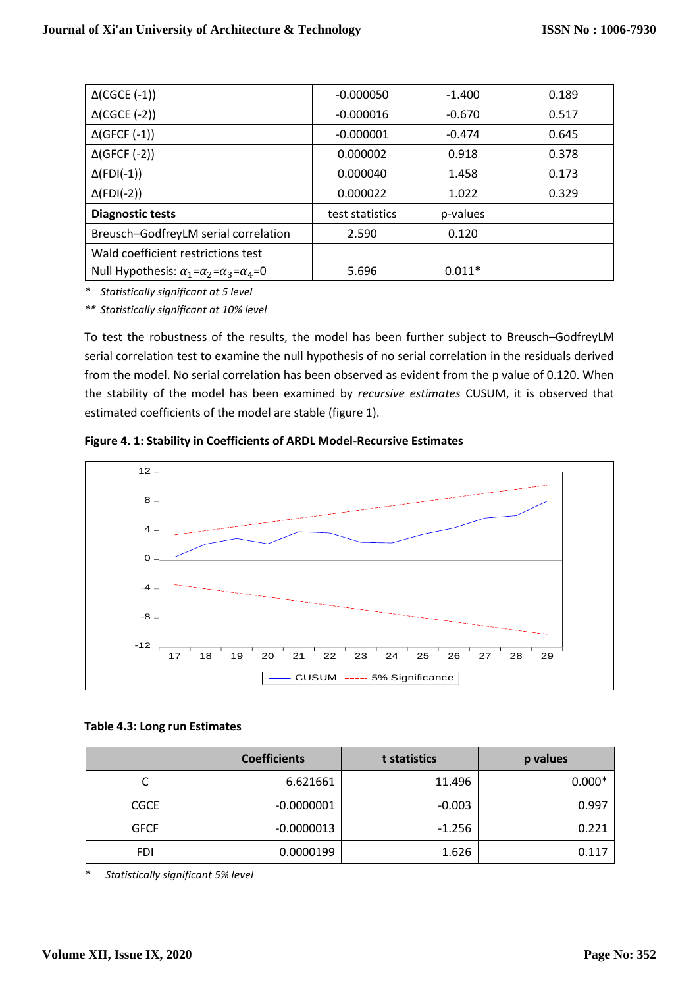| $\Delta$ (CGCE (-1))                                             | $-0.000050$     | $-1.400$ | 0.189 |
|------------------------------------------------------------------|-----------------|----------|-------|
| $\Delta$ (CGCE (-2))                                             | $-0.000016$     | $-0.670$ | 0.517 |
| $\Delta$ (GFCF (-1))                                             | $-0.000001$     | $-0.474$ | 0.645 |
| $\Delta$ (GFCF (-2))                                             | 0.000002        | 0.918    | 0.378 |
| $\Delta$ (FDI(-1))                                               | 0.000040        | 1.458    | 0.173 |
| $\Delta$ (FDI(-2))                                               | 0.000022        | 1.022    | 0.329 |
| <b>Diagnostic tests</b>                                          | test statistics | p-values |       |
| Breusch-GodfreyLM serial correlation                             | 2.590           | 0.120    |       |
| Wald coefficient restrictions test                               |                 |          |       |
| Null Hypothesis: $\alpha_1 = \alpha_2 = \alpha_3 = \alpha_4 = 0$ | 5.696           | $0.011*$ |       |

*\* Statistically significant at 5 level*

*\*\* Statistically significant at 10% level*

To test the robustness of the results, the model has been further subject to Breusch–GodfreyLM serial correlation test to examine the null hypothesis of no serial correlation in the residuals derived from the model. No serial correlation has been observed as evident from the p value of 0.120. When the stability of the model has been examined by *recursive estimates* CUSUM, it is observed that estimated coefficients of the model are stable (figure 1).

**Figure 4. 1: Stability in Coefficients of ARDL Model-Recursive Estimates**



### **Table 4.3: Long run Estimates**

|             | <b>Coefficients</b> | t statistics | p values |
|-------------|---------------------|--------------|----------|
| ◡           | 6.621661            | 11.496       | $0.000*$ |
| <b>CGCE</b> | $-0.0000001$        | $-0.003$     | 0.997    |
| <b>GFCF</b> | $-0.0000013$        | $-1.256$     | 0.221    |
| <b>FDI</b>  | 0.0000199           | 1.626        | 0.117    |

*\* Statistically significant 5% level*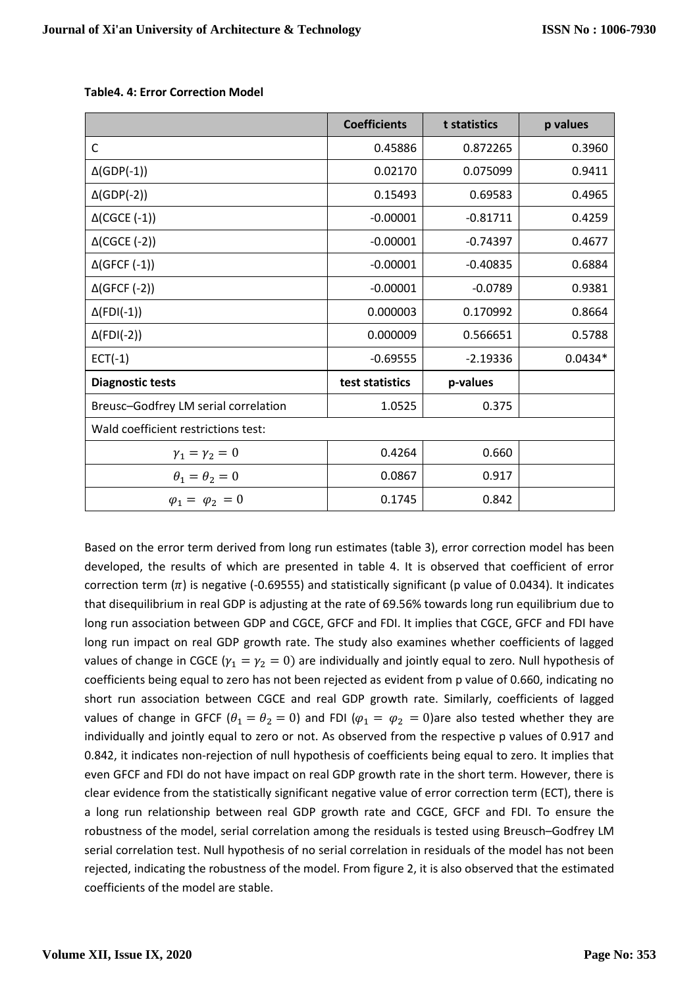|                                      | <b>Coefficients</b> | t statistics | p values  |
|--------------------------------------|---------------------|--------------|-----------|
| $\mathsf{C}$                         | 0.45886             | 0.872265     | 0.3960    |
| $\Delta$ (GDP(-1))                   | 0.02170             | 0.075099     | 0.9411    |
| $\Delta$ (GDP(-2))                   | 0.15493             | 0.69583      | 0.4965    |
| $\Delta$ (CGCE (-1))                 | $-0.00001$          | $-0.81711$   | 0.4259    |
| $\Delta$ (CGCE (-2))                 | $-0.00001$          | $-0.74397$   | 0.4677    |
| $\Delta$ (GFCF (-1))                 | $-0.00001$          | $-0.40835$   | 0.6884    |
| $\Delta$ (GFCF (-2))                 | $-0.00001$          | $-0.0789$    | 0.9381    |
| $\Delta$ (FDI(-1))                   | 0.000003            | 0.170992     | 0.8664    |
| $\Delta$ (FDI(-2))                   | 0.000009            | 0.566651     | 0.5788    |
| $ECT(-1)$                            | $-0.69555$          | $-2.19336$   | $0.0434*$ |
| <b>Diagnostic tests</b>              | test statistics     | p-values     |           |
| Breusc-Godfrey LM serial correlation | 1.0525              | 0.375        |           |
| Wald coefficient restrictions test:  |                     |              |           |
| $\gamma_1 = \gamma_2 = 0$            | 0.4264              | 0.660        |           |
| $\theta_1 = \theta_2 = 0$            | 0.0867              | 0.917        |           |
| $\varphi_1 = \varphi_2 = 0$          | 0.1745              | 0.842        |           |

**Table4. 4: Error Correction Model**

Based on the error term derived from long run estimates (table 3), error correction model has been developed, the results of which are presented in table 4. It is observed that coefficient of error correction term  $(n)$  is negative (-0.69555) and statistically significant (p value of 0.0434). It indicates that disequilibrium in real GDP is adjusting at the rate of 69.56% towards long run equilibrium due to long run association between GDP and CGCE, GFCF and FDI. It implies that CGCE, GFCF and FDI have long run impact on real GDP growth rate. The study also examines whether coefficients of lagged values of change in CGCE ( $\gamma_1 = \gamma_2 = 0$ ) are individually and jointly equal to zero. Null hypothesis of coefficients being equal to zero has not been rejected as evident from p value of 0.660, indicating no short run association between CGCE and real GDP growth rate. Similarly, coefficients of lagged values of change in GFCF ( $\theta_1 = \theta_2 = 0$ ) and FDI ( $\varphi_1 = \varphi_2 = 0$ )are also tested whether they are individually and jointly equal to zero or not. As observed from the respective p values of 0.917 and 0.842, it indicates non-rejection of null hypothesis of coefficients being equal to zero. It implies that even GFCF and FDI do not have impact on real GDP growth rate in the short term. However, there is clear evidence from the statistically significant negative value of error correction term (ECT), there is a long run relationship between real GDP growth rate and CGCE, GFCF and FDI. To ensure the robustness of the model, serial correlation among the residuals is tested using Breusch–Godfrey LM serial correlation test. Null hypothesis of no serial correlation in residuals of the model has not been rejected, indicating the robustness of the model. From figure 2, it is also observed that the estimated coefficients of the model are stable.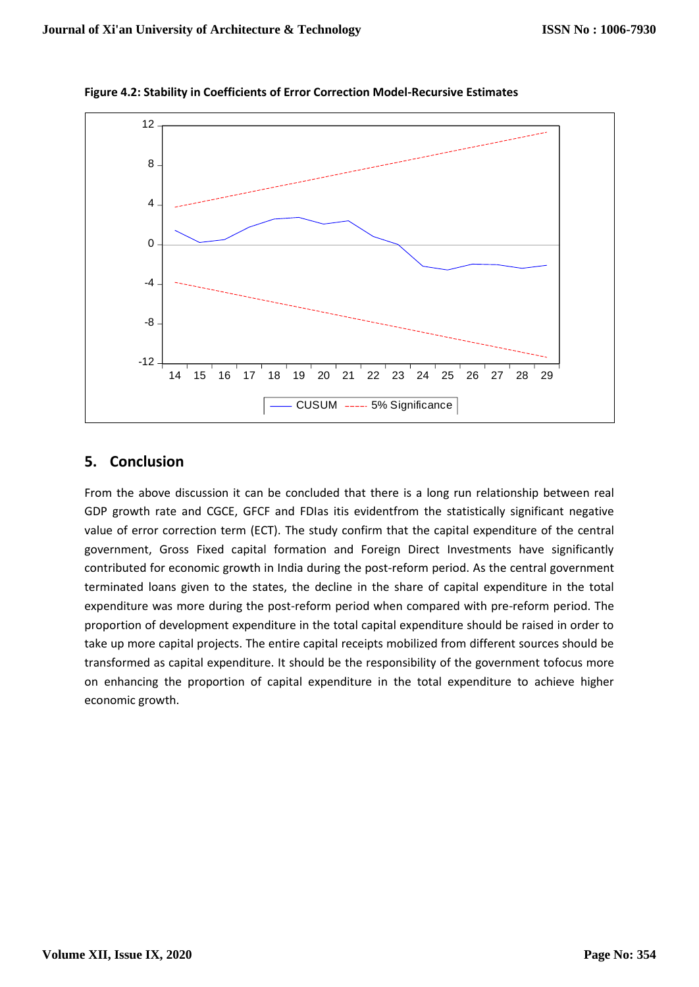

**Figure 4.2: Stability in Coefficients of Error Correction Model-Recursive Estimates**

## **5. Conclusion**

From the above discussion it can be concluded that there is a long run relationship between real GDP growth rate and CGCE, GFCF and FDIas itis evidentfrom the statistically significant negative value of error correction term (ECT). The study confirm that the capital expenditure of the central government, Gross Fixed capital formation and Foreign Direct Investments have significantly contributed for economic growth in India during the post-reform period. As the central government terminated loans given to the states, the decline in the share of capital expenditure in the total expenditure was more during the post-reform period when compared with pre-reform period. The proportion of development expenditure in the total capital expenditure should be raised in order to take up more capital projects. The entire capital receipts mobilized from different sources should be transformed as capital expenditure. It should be the responsibility of the government tofocus more on enhancing the proportion of capital expenditure in the total expenditure to achieve higher economic growth.